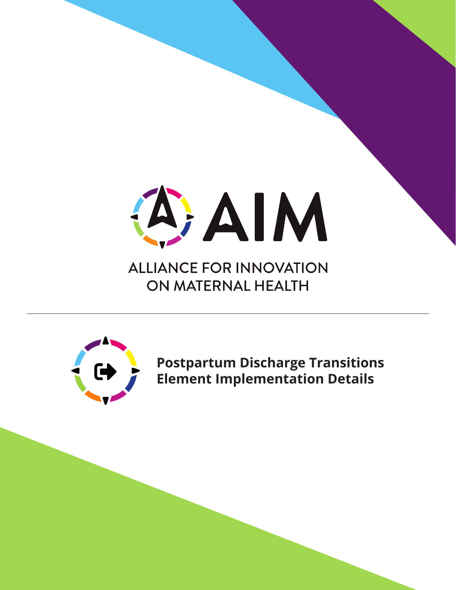

**ALLIANCE FOR INNOVATION** ON MATERNAL HEALTH



**Postpartum Discharge Transitions Element Implementation Details**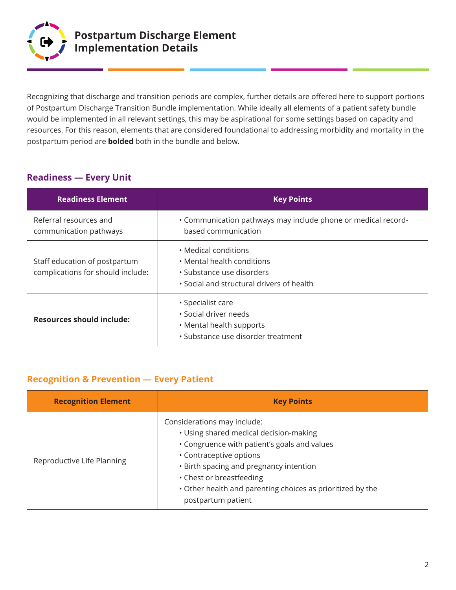

Recognizing that discharge and transition periods are complex, further details are offered here to support portions of Postpartum Discharge Transition Bundle implementation. While ideally all elements of a patient safety bundle would be implemented in all relevant settings, this may be aspirational for some settings based on capacity and resources. For this reason, elements that are considered foundational to addressing morbidity and mortality in the postpartum period are **bolded** both in the bundle and below.

#### **Readiness — Every Unit**

| <b>Readiness Element</b>                                           | <b>Key Points</b>                                                                                                            |
|--------------------------------------------------------------------|------------------------------------------------------------------------------------------------------------------------------|
| Referral resources and<br>communication pathways                   | • Communication pathways may include phone or medical record-<br>based communication                                         |
| Staff education of postpartum<br>complications for should include: | • Medical conditions<br>• Mental health conditions<br>• Substance use disorders<br>• Social and structural drivers of health |
| <b>Resources should include:</b>                                   | • Specialist care<br>• Social driver needs<br>• Mental health supports<br>· Substance use disorder treatment                 |

#### **Recognition & Prevention — Every Patient**

| <b>Recognition Element</b> | <b>Key Points</b>                                                                                                                                                                                                                                                                                           |
|----------------------------|-------------------------------------------------------------------------------------------------------------------------------------------------------------------------------------------------------------------------------------------------------------------------------------------------------------|
| Reproductive Life Planning | Considerations may include:<br>• Using shared medical decision-making<br>• Congruence with patient's goals and values<br>• Contraceptive options<br>• Birth spacing and pregnancy intention<br>• Chest or breastfeeding<br>. Other health and parenting choices as prioritized by the<br>postpartum patient |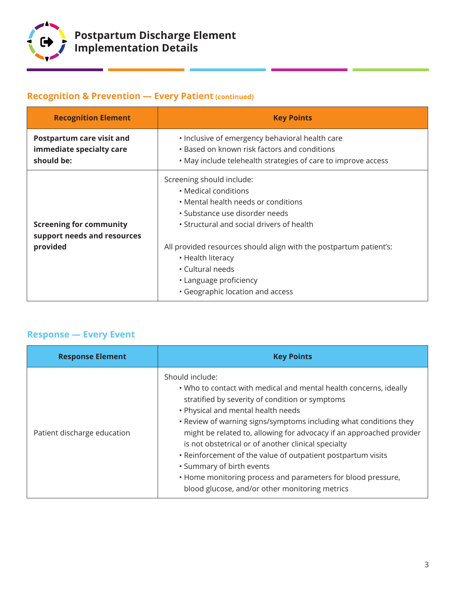

# **Recognition & Prevention — Every Patient (continued)**

| <b>Recognition Element</b>                                                | <b>Key Points</b>                                                                                                                                                                                                                                                                      |
|---------------------------------------------------------------------------|----------------------------------------------------------------------------------------------------------------------------------------------------------------------------------------------------------------------------------------------------------------------------------------|
| Postpartum care visit and<br>immediate specialty care<br>should be:       | . Inclusive of emergency behavioral health care<br>• Based on known risk factors and conditions<br>. May include telehealth strategies of care to improve access                                                                                                                       |
| <b>Screening for community</b><br>support needs and resources<br>provided | Screening should include:<br>• Medical conditions<br>• Mental health needs or conditions<br>· Substance use disorder needs<br>• Structural and social drivers of health<br>All provided resources should align with the postpartum patient's:<br>• Health literacy<br>• Cultural needs |
|                                                                           | • Language proficiency<br>• Geographic location and access                                                                                                                                                                                                                             |

### **Response — Every Event**

| <b>Response Element</b>     | <b>Key Points</b>                                                                                                                                                                                                                                                                                                                                                                                                                                                                                                                                                                                |
|-----------------------------|--------------------------------------------------------------------------------------------------------------------------------------------------------------------------------------------------------------------------------------------------------------------------------------------------------------------------------------------------------------------------------------------------------------------------------------------------------------------------------------------------------------------------------------------------------------------------------------------------|
| Patient discharge education | Should include:<br>. Who to contact with medical and mental health concerns, ideally<br>stratified by severity of condition or symptoms<br>• Physical and mental health needs<br>. Review of warning signs/symptoms including what conditions they<br>might be related to, allowing for advocacy if an approached provider<br>is not obstetrical or of another clinical specialty<br>• Reinforcement of the value of outpatient postpartum visits<br>• Summary of birth events<br>. Home monitoring process and parameters for blood pressure,<br>blood glucose, and/or other monitoring metrics |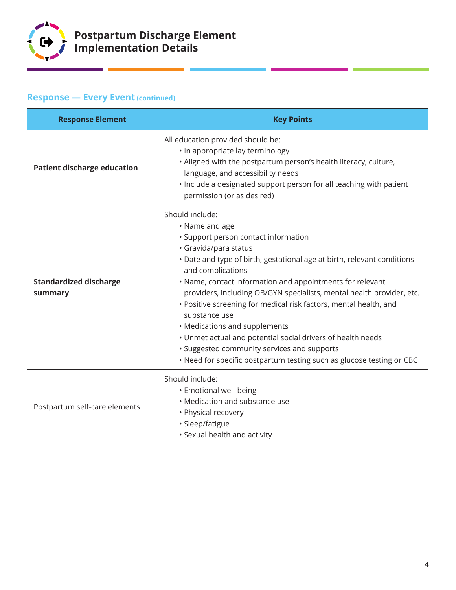

# **Response — Every Event (continued)**

| <b>Response Element</b>                  | <b>Key Points</b>                                                                                                                                                                                                                                                                                                                                                                                                                                                                                                                                                                                                                                      |
|------------------------------------------|--------------------------------------------------------------------------------------------------------------------------------------------------------------------------------------------------------------------------------------------------------------------------------------------------------------------------------------------------------------------------------------------------------------------------------------------------------------------------------------------------------------------------------------------------------------------------------------------------------------------------------------------------------|
| <b>Patient discharge education</b>       | All education provided should be:<br>• In appropriate lay terminology<br>. Aligned with the postpartum person's health literacy, culture,<br>language, and accessibility needs<br>. Include a designated support person for all teaching with patient<br>permission (or as desired)                                                                                                                                                                                                                                                                                                                                                                    |
| <b>Standardized discharge</b><br>summary | Should include:<br>• Name and age<br>· Support person contact information<br>· Gravida/para status<br>• Date and type of birth, gestational age at birth, relevant conditions<br>and complications<br>• Name, contact information and appointments for relevant<br>providers, including OB/GYN specialists, mental health provider, etc.<br>• Positive screening for medical risk factors, mental health, and<br>substance use<br>• Medications and supplements<br>. Unmet actual and potential social drivers of health needs<br>• Suggested community services and supports<br>. Need for specific postpartum testing such as glucose testing or CBC |
| Postpartum self-care elements            | Should include:<br>• Emotional well-being<br>• Medication and substance use<br>• Physical recovery<br>· Sleep/fatigue<br>• Sexual health and activity                                                                                                                                                                                                                                                                                                                                                                                                                                                                                                  |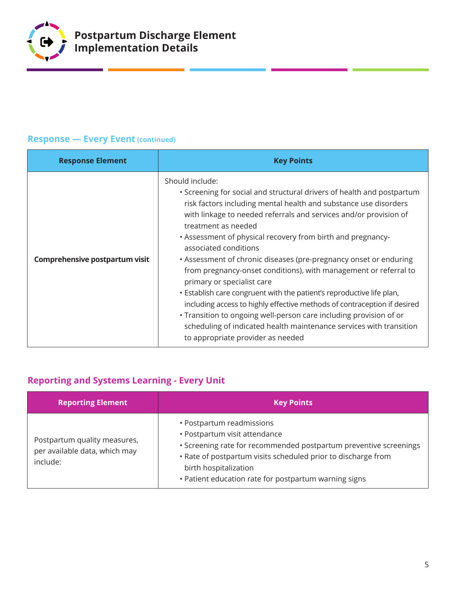

### **Response — Every Event (continued)**

| <b>Response Element</b>        | <b>Key Points</b>                                                                                                                                                                                                                                                                                                                                                                                                                                                                                                                                                                                                                                                                                                                                                                                                                                               |
|--------------------------------|-----------------------------------------------------------------------------------------------------------------------------------------------------------------------------------------------------------------------------------------------------------------------------------------------------------------------------------------------------------------------------------------------------------------------------------------------------------------------------------------------------------------------------------------------------------------------------------------------------------------------------------------------------------------------------------------------------------------------------------------------------------------------------------------------------------------------------------------------------------------|
| Comprehensive postpartum visit | Should include:<br>• Screening for social and structural drivers of health and postpartum<br>risk factors including mental health and substance use disorders<br>with linkage to needed referrals and services and/or provision of<br>treatment as needed<br>• Assessment of physical recovery from birth and pregnancy-<br>associated conditions<br>• Assessment of chronic diseases (pre-pregnancy onset or enduring<br>from pregnancy-onset conditions), with management or referral to<br>primary or specialist care<br>. Establish care congruent with the patient's reproductive life plan,<br>including access to highly effective methods of contraception if desired<br>• Transition to ongoing well-person care including provision of or<br>scheduling of indicated health maintenance services with transition<br>to appropriate provider as needed |

# **Reporting and Systems Learning - Every Unit**

| <b>Reporting Element</b>                                                  | <b>Key Points</b>                                                                                                                                                                                                                                                                  |
|---------------------------------------------------------------------------|------------------------------------------------------------------------------------------------------------------------------------------------------------------------------------------------------------------------------------------------------------------------------------|
| Postpartum quality measures,<br>per available data, which may<br>include: | • Postpartum readmissions<br>• Postpartum visit attendance<br>• Screening rate for recommended postpartum preventive screenings<br>. Rate of postpartum visits scheduled prior to discharge from<br>birth hospitalization<br>• Patient education rate for postpartum warning signs |